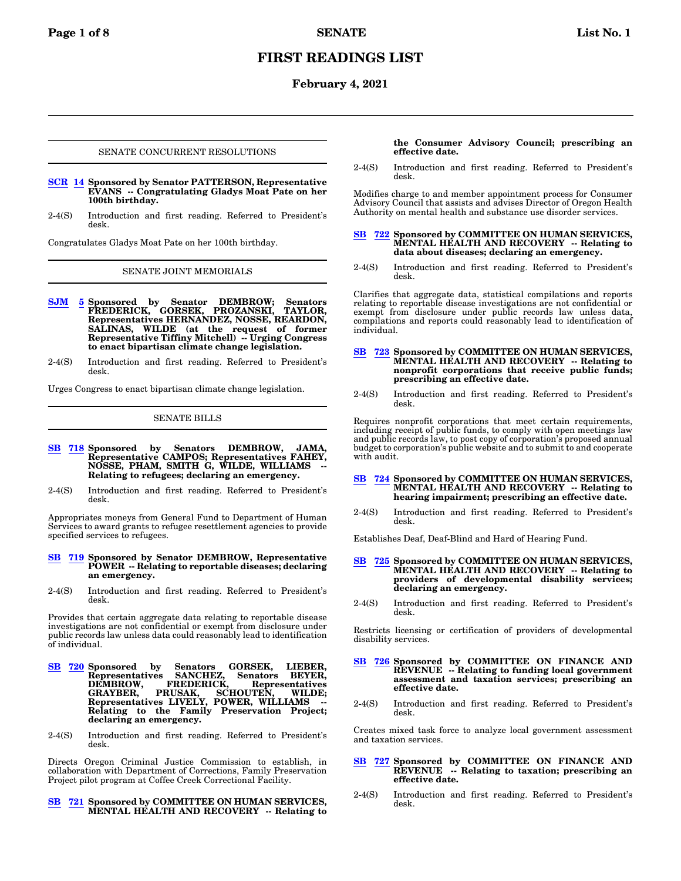# **FIRST READINGS LIST**

## **February 4, 2021**

### SENATE CONCURRENT RESOLUTIONS

- **[SCR](https://olis.oregonlegislature.gov/liz/2021R1/Measures/Overview/SCR14) [14](https://olis.oregonlegislature.gov/liz/2021R1/Measures/Overview/SCR14) Sponsored by Senator PATTERSON, Representative EVANS -- Congratulating Gladys Moat Pate on her 100th birthday.**
- 2-4(S) Introduction and first reading. Referred to President's desk.

Congratulates Gladys Moat Pate on her 100th birthday.

#### SENATE JOINT MEMORIALS

- **[SJM](https://olis.oregonlegislature.gov/liz/2021R1/Measures/Overview/SJM5) [5](https://olis.oregonlegislature.gov/liz/2021R1/Measures/Overview/SJM5) Sponsored by Senator DEMBROW; Senators FREDERICK, GORSEK, PROZANSKI, TAYLOR, Representatives HERNANDEZ, NOSSE, REARDON, SALINAS, WILDE (at the request of former Representative Tiffiny Mitchell) -- Urging Congress to enact bipartisan climate change legislation.**
- 2-4(S) Introduction and first reading. Referred to President's desk.

Urges Congress to enact bipartisan climate change legislation.

### SENATE BILLS

- **[SB](https://olis.oregonlegislature.gov/liz/2021R1/Measures/Overview/SB718) [718](https://olis.oregonlegislature.gov/liz/2021R1/Measures/Overview/SB718) Sponsored by Senators DEMBROW, JAMA, Representative CAMPOS; Representatives FAHEY, NOSSE, PHAM, SMITH G, WILDE, WILLIAMS -- Relating to refugees; declaring an emergency.**
- 2-4(S) Introduction and first reading. Referred to President's desk.

Appropriates moneys from General Fund to Department of Human Services to award grants to refugee resettlement agencies to provide specified services to refugees.

#### **[SB](https://olis.oregonlegislature.gov/liz/2021R1/Measures/Overview/SB719) [719](https://olis.oregonlegislature.gov/liz/2021R1/Measures/Overview/SB719) Sponsored by Senator DEMBROW, Representative POWER -- Relating to reportable diseases; declaring an emergency.**

2-4(S) Introduction and first reading. Referred to President's desk.

Provides that certain aggregate data relating to reportable disease investigations are not confidential or exempt from disclosure under public records law unless data could reasonably lead to identification of individual.

- **[SB](https://olis.oregonlegislature.gov/liz/2021R1/Measures/Overview/SB720) [720](https://olis.oregonlegislature.gov/liz/2021R1/Measures/Overview/SB720) Sponsored by Senators GORSEK, LIEBER, Representatives SANCHEZ, Senators BEYER, DEMBROW, FREDERICK, Representatives GRAYBER, PRUSAK, SCHOUTEN, WILDE; Representatives LIVELY, POWER, WILLIAMS -- Relating to the Family Preservation Project; declaring an emergency.**
- 2-4(S) Introduction and first reading. Referred to President's desk.

Directs Oregon Criminal Justice Commission to establish, in collaboration with Department of Corrections, Family Preservation Project pilot program at Coffee Creek Correctional Facility.

## **[SB](https://olis.oregonlegislature.gov/liz/2021R1/Measures/Overview/SB721) [721](https://olis.oregonlegislature.gov/liz/2021R1/Measures/Overview/SB721) Sponsored by COMMITTEE ON HUMAN SERVICES, MENTAL HEALTH AND RECOVERY -- Relating to**

**the Consumer Advisory Council; prescribing an effective date.**

2-4(S) Introduction and first reading. Referred to President's desk.

Modifies charge to and member appointment process for Consumer Advisory Council that assists and advises Director of Oregon Health Authority on mental health and substance use disorder services.

#### **[SB](https://olis.oregonlegislature.gov/liz/2021R1/Measures/Overview/SB722) [722](https://olis.oregonlegislature.gov/liz/2021R1/Measures/Overview/SB722) Sponsored by COMMITTEE ON HUMAN SERVICES, MENTAL HEALTH AND RECOVERY -- Relating to data about diseases; declaring an emergency.**

2-4(S) Introduction and first reading. Referred to President's desk.

Clarifies that aggregate data, statistical compilations and reports relating to reportable disease investigations are not confidential or exempt from disclosure under public records law unless data, compilations and reports could reasonably lead to identification of individual.

#### **[SB](https://olis.oregonlegislature.gov/liz/2021R1/Measures/Overview/SB723) [723](https://olis.oregonlegislature.gov/liz/2021R1/Measures/Overview/SB723) Sponsored by COMMITTEE ON HUMAN SERVICES, MENTAL HEALTH AND RECOVERY -- Relating to nonprofit corporations that receive public funds; prescribing an effective date.**

2-4(S) Introduction and first reading. Referred to President's desk.

Requires nonprofit corporations that meet certain requirements, including receipt of public funds, to comply with open meetings law and public records law, to post copy of corporation's proposed annual budget to corporation's public website and to submit to and cooperate with audit.

#### **[SB](https://olis.oregonlegislature.gov/liz/2021R1/Measures/Overview/SB724) [724](https://olis.oregonlegislature.gov/liz/2021R1/Measures/Overview/SB724) Sponsored by COMMITTEE ON HUMAN SERVICES, MENTAL HEALTH AND RECOVERY -- Relating to hearing impairment; prescribing an effective date.**

2-4(S) Introduction and first reading. Referred to President's desk.

Establishes Deaf, Deaf-Blind and Hard of Hearing Fund.

#### **[SB](https://olis.oregonlegislature.gov/liz/2021R1/Measures/Overview/SB725) [725](https://olis.oregonlegislature.gov/liz/2021R1/Measures/Overview/SB725) Sponsored by COMMITTEE ON HUMAN SERVICES, MENTAL HEALTH AND RECOVERY -- Relating to providers of developmental disability services; declaring an emergency.**

2-4(S) Introduction and first reading. Referred to President's desk.

Restricts licensing or certification of providers of developmental disability services.

- **[SB](https://olis.oregonlegislature.gov/liz/2021R1/Measures/Overview/SB726) [726](https://olis.oregonlegislature.gov/liz/2021R1/Measures/Overview/SB726) Sponsored by COMMITTEE ON FINANCE AND REVENUE -- Relating to funding local government assessment and taxation services; prescribing an effective date.**
- 2-4(S) Introduction and first reading. Referred to President's desk.

Creates mixed task force to analyze local government assessment and taxation services.

#### **[SB](https://olis.oregonlegislature.gov/liz/2021R1/Measures/Overview/SB727) [727](https://olis.oregonlegislature.gov/liz/2021R1/Measures/Overview/SB727) Sponsored by COMMITTEE ON FINANCE AND REVENUE -- Relating to taxation; prescribing an effective date.**

2-4(S) Introduction and first reading. Referred to President's desk.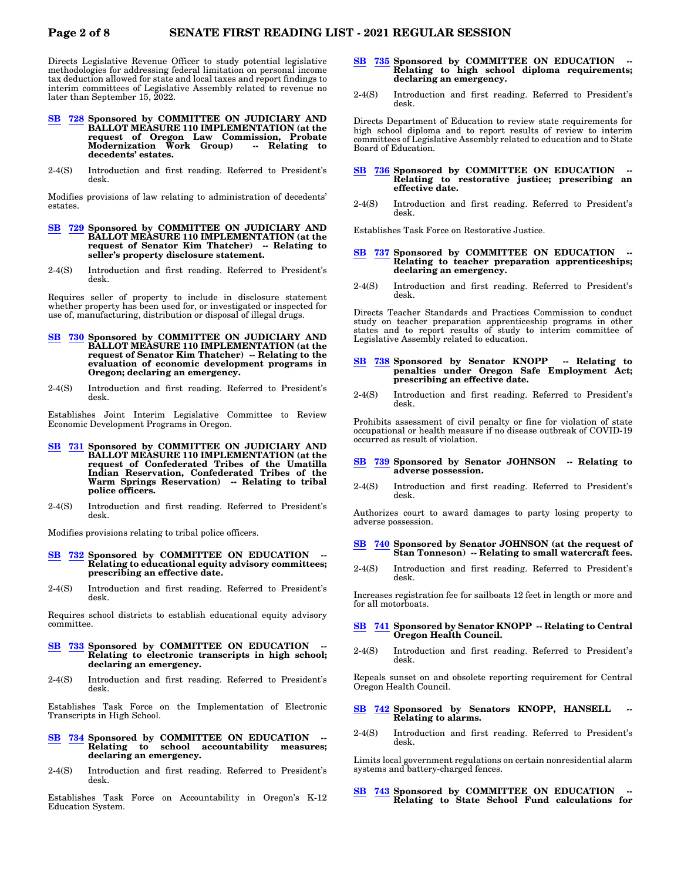Directs Legislative Revenue Officer to study potential legislative methodologies for addressing federal limitation on personal income tax deduction allowed for state and local taxes and report findings to interim committees of Legislative Assembly related to revenue no later than September 15, 2022.

- **[SB](https://olis.oregonlegislature.gov/liz/2021R1/Measures/Overview/SB728) [728](https://olis.oregonlegislature.gov/liz/2021R1/Measures/Overview/SB728) Sponsored by COMMITTEE ON JUDICIARY AND BALLOT MEASURE 110 IMPLEMENTATION (at the request of Oregon Law Commission, Probate Modernization Work Group) -- Relating to decedents' estates.**
- 2-4(S) Introduction and first reading. Referred to President's desk.

Modifies provisions of law relating to administration of decedents' estates.

- **[SB](https://olis.oregonlegislature.gov/liz/2021R1/Measures/Overview/SB729) [729](https://olis.oregonlegislature.gov/liz/2021R1/Measures/Overview/SB729) Sponsored by COMMITTEE ON JUDICIARY AND BALLOT MEASURE 110 IMPLEMENTATION (at the request of Senator Kim Thatcher) -- Relating to seller's property disclosure statement.**
- 2-4(S) Introduction and first reading. Referred to President's desk.

Requires seller of property to include in disclosure statement whether property has been used for, or investigated or inspected for use of, manufacturing, distribution or disposal of illegal drugs.

- **[SB](https://olis.oregonlegislature.gov/liz/2021R1/Measures/Overview/SB730) [730](https://olis.oregonlegislature.gov/liz/2021R1/Measures/Overview/SB730) Sponsored by COMMITTEE ON JUDICIARY AND BALLOT MEASURE 110 IMPLEMENTATION (at the request of Senator Kim Thatcher) -- Relating to the evaluation of economic development programs in Oregon; declaring an emergency.**
- 2-4(S) Introduction and first reading. Referred to President's desk.

Establishes Joint Interim Legislative Committee to Review Economic Development Programs in Oregon.

- **[SB](https://olis.oregonlegislature.gov/liz/2021R1/Measures/Overview/SB731) [731](https://olis.oregonlegislature.gov/liz/2021R1/Measures/Overview/SB731) Sponsored by COMMITTEE ON JUDICIARY AND BALLOT MEASURE 110 IMPLEMENTATION (at the request of Confederated Tribes of the Umatilla Indian Reservation, Confederated Tribes of the Warm Springs Reservation) -- Relating to tribal police officers.**
- 2-4(S) Introduction and first reading. Referred to President's desk.

Modifies provisions relating to tribal police officers.

- **[SB](https://olis.oregonlegislature.gov/liz/2021R1/Measures/Overview/SB732) [732](https://olis.oregonlegislature.gov/liz/2021R1/Measures/Overview/SB732) Sponsored by COMMITTEE ON EDUCATION -- Relating to educational equity advisory committees; prescribing an effective date.**
- 2-4(S) Introduction and first reading. Referred to President's desk.

Requires school districts to establish educational equity advisory committee.

- **[SB](https://olis.oregonlegislature.gov/liz/2021R1/Measures/Overview/SB733) [733](https://olis.oregonlegislature.gov/liz/2021R1/Measures/Overview/SB733) Sponsored by COMMITTEE ON EDUCATION -- Relating to electronic transcripts in high school; declaring an emergency.**
- 2-4(S) Introduction and first reading. Referred to President's desk.

Establishes Task Force on the Implementation of Electronic Transcripts in High School.

- **[SB](https://olis.oregonlegislature.gov/liz/2021R1/Measures/Overview/SB734) [734](https://olis.oregonlegislature.gov/liz/2021R1/Measures/Overview/SB734) Sponsored by COMMITTEE ON EDUCATION Relating to school accountability measures; declaring an emergency.**
- 2-4(S) Introduction and first reading. Referred to President's desk.

Establishes Task Force on Accountability in Oregon's K-12 Education System.

- **[SB](https://olis.oregonlegislature.gov/liz/2021R1/Measures/Overview/SB735) [735](https://olis.oregonlegislature.gov/liz/2021R1/Measures/Overview/SB735) Sponsored by COMMITTEE ON EDUCATION -- Relating to high school diploma requirements; declaring an emergency.**
- 2-4(S) Introduction and first reading. Referred to President's desk.

Directs Department of Education to review state requirements for high school diploma and to report results of review to interim committees of Legislative Assembly related to education and to State Board of Education.

## **[SB](https://olis.oregonlegislature.gov/liz/2021R1/Measures/Overview/SB736) [736](https://olis.oregonlegislature.gov/liz/2021R1/Measures/Overview/SB736) Sponsored by COMMITTEE ON EDUCATION -- Relating to restorative justice; prescribing an effective date.**

2-4(S) Introduction and first reading. Referred to President's desk.

Establishes Task Force on Restorative Justice.

- **[SB](https://olis.oregonlegislature.gov/liz/2021R1/Measures/Overview/SB737) [737](https://olis.oregonlegislature.gov/liz/2021R1/Measures/Overview/SB737) Sponsored by COMMITTEE ON EDUCATION Relating to teacher preparation apprenticeships; declaring an emergency.**
- 2-4(S) Introduction and first reading. Referred to President's desk.

Directs Teacher Standards and Practices Commission to conduct study on teacher preparation apprenticeship programs in other states and to report results of study to interim committee of Legislative Assembly related to education.

#### **[SB](https://olis.oregonlegislature.gov/liz/2021R1/Measures/Overview/SB738) [738](https://olis.oregonlegislature.gov/liz/2021R1/Measures/Overview/SB738) Sponsored by Senator KNOPP -- Relating to penalties under Oregon Safe Employment Act; prescribing an effective date.**

2-4(S) Introduction and first reading. Referred to President's desk.

Prohibits assessment of civil penalty or fine for violation of state occupational or health measure if no disease outbreak of COVID-19 occurred as result of violation.

#### **[SB](https://olis.oregonlegislature.gov/liz/2021R1/Measures/Overview/SB739) [739](https://olis.oregonlegislature.gov/liz/2021R1/Measures/Overview/SB739) Sponsored by Senator JOHNSON -- Relating to adverse possession.**

2-4(S) Introduction and first reading. Referred to President's desk.

Authorizes court to award damages to party losing property to adverse possession.

## **[SB](https://olis.oregonlegislature.gov/liz/2021R1/Measures/Overview/SB740) [740](https://olis.oregonlegislature.gov/liz/2021R1/Measures/Overview/SB740) Sponsored by Senator JOHNSON (at the request of Stan Tonneson) -- Relating to small watercraft fees.**

2-4(S) Introduction and first reading. Referred to President's desk.

Increases registration fee for sailboats 12 feet in length or more and for all motorboats.

# **[SB](https://olis.oregonlegislature.gov/liz/2021R1/Measures/Overview/SB741) [741](https://olis.oregonlegislature.gov/liz/2021R1/Measures/Overview/SB741) Sponsored by Senator KNOPP -- Relating to Central Oregon Health Council.**

2-4(S) Introduction and first reading. Referred to President's desk.

Repeals sunset on and obsolete reporting requirement for Central Oregon Health Council.

- **[SB](https://olis.oregonlegislature.gov/liz/2021R1/Measures/Overview/SB742) [742](https://olis.oregonlegislature.gov/liz/2021R1/Measures/Overview/SB742) Sponsored by Senators KNOPP, HANSELL Relating to alarms.**
- 2-4(S) Introduction and first reading. Referred to President's desk.

Limits local government regulations on certain nonresidential alarm systems and battery-charged fences.

**[SB](https://olis.oregonlegislature.gov/liz/2021R1/Measures/Overview/SB743) [743](https://olis.oregonlegislature.gov/liz/2021R1/Measures/Overview/SB743) Sponsored by COMMITTEE ON EDUCATION Relating to State School Fund calculations for**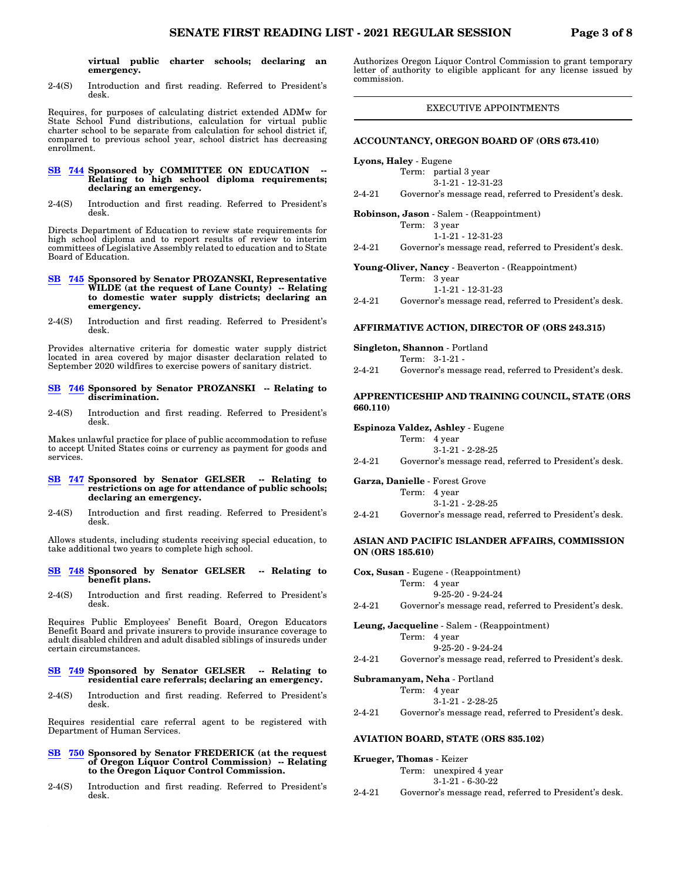**virtual public charter schools; declaring an emergency.**

2-4(S) Introduction and first reading. Referred to President's desk.

Requires, for purposes of calculating district extended ADMw for State School Fund distributions, calculation for virtual public charter school to be separate from calculation for school district if, compared to previous school year, school district has decreasing enrollment.

## **[SB](https://olis.oregonlegislature.gov/liz/2021R1/Measures/Overview/SB744) [744](https://olis.oregonlegislature.gov/liz/2021R1/Measures/Overview/SB744) Sponsored by COMMITTEE ON EDUCATION -- Relating to high school diploma requirements; declaring an emergency.**

2-4(S) Introduction and first reading. Referred to President's desk.

Directs Department of Education to review state requirements for high school diploma and to report results of review to interim committees of Legislative Assembly related to education and to State Board of Education.

- **[SB](https://olis.oregonlegislature.gov/liz/2021R1/Measures/Overview/SB745) [745](https://olis.oregonlegislature.gov/liz/2021R1/Measures/Overview/SB745) Sponsored by Senator PROZANSKI, Representative WILDE (at the request of Lane County) -- Relating to domestic water supply districts; declaring an emergency.**
- 2-4(S) Introduction and first reading. Referred to President's desk.

Provides alternative criteria for domestic water supply district located in area covered by major disaster declaration related to September 2020 wildfires to exercise powers of sanitary district.

#### **[SB](https://olis.oregonlegislature.gov/liz/2021R1/Measures/Overview/SB746) [746](https://olis.oregonlegislature.gov/liz/2021R1/Measures/Overview/SB746) Sponsored by Senator PROZANSKI -- Relating to discrimination.**

2-4(S) Introduction and first reading. Referred to President's desk.

Makes unlawful practice for place of public accommodation to refuse to accept United States coins or currency as payment for goods and services.

## **[SB](https://olis.oregonlegislature.gov/liz/2021R1/Measures/Overview/SB747) [747](https://olis.oregonlegislature.gov/liz/2021R1/Measures/Overview/SB747) Sponsored by Senator GELSER -- Relating to restrictions on age for attendance of public schools; declaring an emergency.**

2-4(S) Introduction and first reading. Referred to President's desk.

Allows students, including students receiving special education, to take additional two years to complete high school.

#### **[SB](https://olis.oregonlegislature.gov/liz/2021R1/Measures/Overview/SB748) [748](https://olis.oregonlegislature.gov/liz/2021R1/Measures/Overview/SB748) Sponsored by Senator GELSER -- Relating to benefit plans.**

2-4(S) Introduction and first reading. Referred to President's desk.

Requires Public Employees' Benefit Board, Oregon Educators Benefit Board and private insurers to provide insurance coverage to adult disabled children and adult disabled siblings of insureds under certain circumstances.

### **[SB](https://olis.oregonlegislature.gov/liz/2021R1/Measures/Overview/SB749) [749](https://olis.oregonlegislature.gov/liz/2021R1/Measures/Overview/SB749) Sponsored by Senator GELSER -- Relating to residential care referrals; declaring an emergency.**

2-4(S) Introduction and first reading. Referred to President's desk.

Requires residential care referral agent to be registered with Department of Human Services.

#### **[SB](https://olis.oregonlegislature.gov/liz/2021R1/Measures/Overview/SB750) [750](https://olis.oregonlegislature.gov/liz/2021R1/Measures/Overview/SB750) Sponsored by Senator FREDERICK (at the request of Oregon Liquor Control Commission) -- Relating to the Oregon Liquor Control Commission.**

2-4(S) Introduction and first reading. Referred to President's desk.

Authorizes Oregon Liquor Control Commission to grant temporary letter of authority to eligible applicant for any license issued by commission.

## EXECUTIVE APPOINTMENTS

#### **ACCOUNTANCY, OREGON BOARD OF (ORS 673.410)**

**Lyons, Haley** - Eugene

Term: partial 3 year 3-1-21 - 12-31-23

2-4-21 Governor's message read, referred to President's desk.

**Robinson, Jason** - Salem - (Reappointment)

| Term: 3 year                |
|-----------------------------|
| $1 - 1 - 21 - 12 - 31 - 23$ |

2-4-21 Governor's message read, referred to President's desk.

**Young-Oliver, Nancy** - Beaverton - (Reappointment)

| Term: 3 year      |
|-------------------|
| 1-1-21 - 12-31-23 |

2-4-21 Governor's message read, referred to President's desk.

#### **AFFIRMATIVE ACTION, DIRECTOR OF (ORS 243.315)**

**Singleton, Shannon** - Portland

Term: 3-1-21 - 2-4-21 Governor's message read, referred to President's desk.

## **APPRENTICESHIP AND TRAINING COUNCIL, STATE (ORS 660.110)**

**Espinoza Valdez, Ashley** - Eugene

| Term: | 4 year |  |
|-------|--------|--|
|-------|--------|--|

3-1-21 - 2-28-25

2-4-21 Governor's message read, referred to President's desk.

**Garza, Danielle** - Forest Grove

- Term: 4 year 3-1-21 - 2-28-25
- 2-4-21 Governor's message read, referred to President's desk.

## **ASIAN AND PACIFIC ISLANDER AFFAIRS, COMMISSION ON (ORS 185.610)**

| Cox, Susan - Eugene - (Reappointment) |  |                                                        |  |  |
|---------------------------------------|--|--------------------------------------------------------|--|--|
|                                       |  | Term: 4 year                                           |  |  |
|                                       |  | $9 - 25 - 20 - 9 - 24 - 24$                            |  |  |
| $2 - 4 - 21$                          |  | Governor's message read, referred to President's desk. |  |  |
|                                       |  | $\mathbf{r}$ it all on the $\mathbf{r}$                |  |  |

**Leung, Jacqueline** - Salem - (Reappointment) Term: 4 year 9-25-20 - 9-24-24

2-4-21 Governor's message read, referred to President's desk.

**Subramanyam, Neha** - Portland

Term: 
$$
4 \text{ year}
$$

\n $3-1-21 - 2-28-25$ 

2-4-21 Governor's message read, referred to President's desk.

## **AVIATION BOARD, STATE (ORS 835.102)**

**Krueger, Thomas** - Keizer Term: unexpired 4 year 3-1-21 - 6-30-22 2-4-21 Governor's message read, referred to President's desk.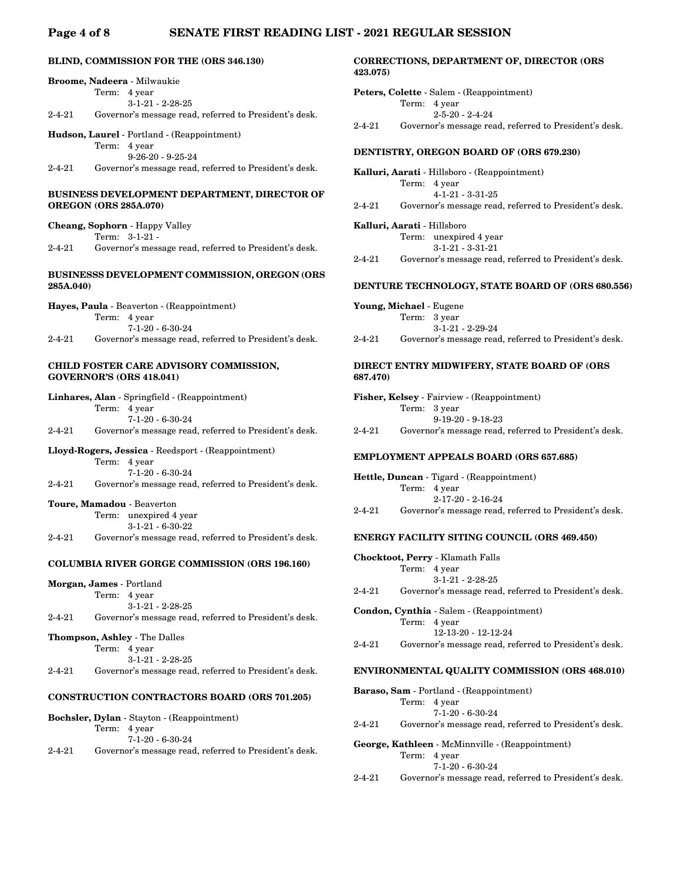## **Page 4 of 8 SENATE FIRST READING LIST - 2021 REGULAR SESSION**

## **BLIND, COMMISSION FOR THE (ORS 346.130)**

|              | <b>Broome, Nadeera - Milwaukie</b>                     |
|--------------|--------------------------------------------------------|
|              | Term: 4 year                                           |
|              | $3-1-21 - 2-28-25$                                     |
| $2 - 4 - 21$ | Governor's message read, referred to President's desk. |
|              |                                                        |

**Hudson, Laurel** - Portland - (Reappointment)

Term: 4 year 9-26-20 - 9-25-24

2-4-21 Governor's message read, referred to President's desk.

## **BUSINESS DEVELOPMENT DEPARTMENT, DIRECTOR OF OREGON (ORS 285A.070)**

|   | <b>Cheang, Sophorn</b> - Happy Valley |  |     |  |
|---|---------------------------------------|--|-----|--|
|   | Term: $3-1-21$                        |  |     |  |
| . |                                       |  | . . |  |

2-4-21 Governor's message read, referred to President's desk.

## **BUSINESSS DEVELOPMENT COMMISSION, OREGON (ORS 285A.040)**

| Hayes, Paula - Beaverton - (Reappointment) |              |                                                        |  |  |
|--------------------------------------------|--------------|--------------------------------------------------------|--|--|
|                                            | Term: 4 year |                                                        |  |  |
|                                            |              | $7-1-20 - 6-30-24$                                     |  |  |
| $2 - 4 - 21$                               |              | Governor's message read, referred to President's desk. |  |  |

## **CHILD FOSTER CARE ADVISORY COMMISSION, GOVERNOR'S (ORS 418.041)**

| <b>Linhares, Alan</b> - Springfield - (Reappointment) |              |                                                        |  |  |  |
|-------------------------------------------------------|--------------|--------------------------------------------------------|--|--|--|
|                                                       | Term: 4 year |                                                        |  |  |  |
|                                                       |              | $7-1-20 - 6-30-24$                                     |  |  |  |
| $2 - 4 - 21$                                          |              | Governor's message read, referred to President's desk. |  |  |  |

## **Lloyd-Rogers, Jessica** - Reedsport - (Reappointment)

Term: 4 year

- 7-1-20 6-30-24 2-4-21 Governor's message read, referred to President's desk.
- **Toure, Mamadou** Beaverton Term: unexpired 4 year 3-1-21 - 6-30-22
- 2-4-21 Governor's message read, referred to President's desk.

## **COLUMBIA RIVER GORGE COMMISSION (ORS 196.160)**

**Morgan, James** - Portland

```
Term: 4 year
```

```
3-1-21 - 2-28-25
2-4-21 Governor's message read, referred to President's desk.
```

```
Thompson, Ashley - The Dalles
```
Term: 4 year

3-1-21 - 2-28-25

2-4-21 Governor's message read, referred to President's desk.

## **CONSTRUCTION CONTRACTORS BOARD (ORS 701.205)**

|              | <b>Bochsler, Dylan</b> - Stayton - (Reappointment) |
|--------------|----------------------------------------------------|
| Term: 4 year |                                                    |
|              | $7-1-20 - 6-30-24$                                 |

2-4-21 Governor's message read, referred to President's desk.

## **CORRECTIONS, DEPARTMENT OF, DIRECTOR (ORS 423.075)**

**Peters, Colette** - Salem - (Reappointment) Term: 4 year 2-5-20 - 2-4-24 2-4-21 Governor's message read, referred to President's desk.

## **DENTISTRY, OREGON BOARD OF (ORS 679.230)**

**Kalluri, Aarati** - Hillsboro - (Reappointment) Term: 4 year 4-1-21 - 3-31-25 2-4-21 Governor's message read, referred to President's desk.

**Kalluri, Aarati** - Hillsboro Term: unexpired 4 year 3-1-21 - 3-31-21

2-4-21 Governor's message read, referred to President's desk.

#### **DENTURE TECHNOLOGY, STATE BOARD OF (ORS 680.556)**

**Young, Michael** - Eugene Term: 3 year 3-1-21 - 2-29-24

2-4-21 Governor's message read, referred to President's desk.

## **DIRECT ENTRY MIDWIFERY, STATE BOARD OF (ORS 687.470)**

| <b>Fisher, Kelsey</b> - Fairview - (Reappointment) |                                                        |  |  |  |
|----------------------------------------------------|--------------------------------------------------------|--|--|--|
|                                                    | Term: 3 year                                           |  |  |  |
|                                                    | $9-19-20 - 9-18-23$                                    |  |  |  |
| $2 - 4 - 21$                                       | Governor's message read, referred to President's desk. |  |  |  |

## **EMPLOYMENT APPEALS BOARD (ORS 657.685)**

```
Hettle, Duncan - Tigard - (Reappointment)
          Term: 4 year
                  2-17-20 - 2-16-24
2-4-21 Governor's message read, referred to President's desk.
```
## **ENERGY FACILITY SITING COUNCIL (ORS 469.450)**

|        |              | Chocktoot, Perry - Klamath Falls                       |
|--------|--------------|--------------------------------------------------------|
|        | Term: 4 year |                                                        |
|        |              | $3-1-21 - 2-28-25$                                     |
| 2-4-21 |              | Governor's message read, referred to President's desk. |
|        |              |                                                        |

**Condon, Cynthia** - Salem - (Reappointment) Term: 4 year 12-13-20 - 12-12-24 2-4-21 Governor's message read, referred to President's desk.

## **ENVIRONMENTAL QUALITY COMMISSION (ORS 468.010)**

**Baraso, Sam** - Portland - (Reappointment)

Term: 4 year 7-1-20 - 6-30-24

2-4-21 Governor's message read, referred to President's desk.

**George, Kathleen** - McMinnville - (Reappointment) Term: 4 year

7-1-20 - 6-30-24

2-4-21 Governor's message read, referred to President's desk.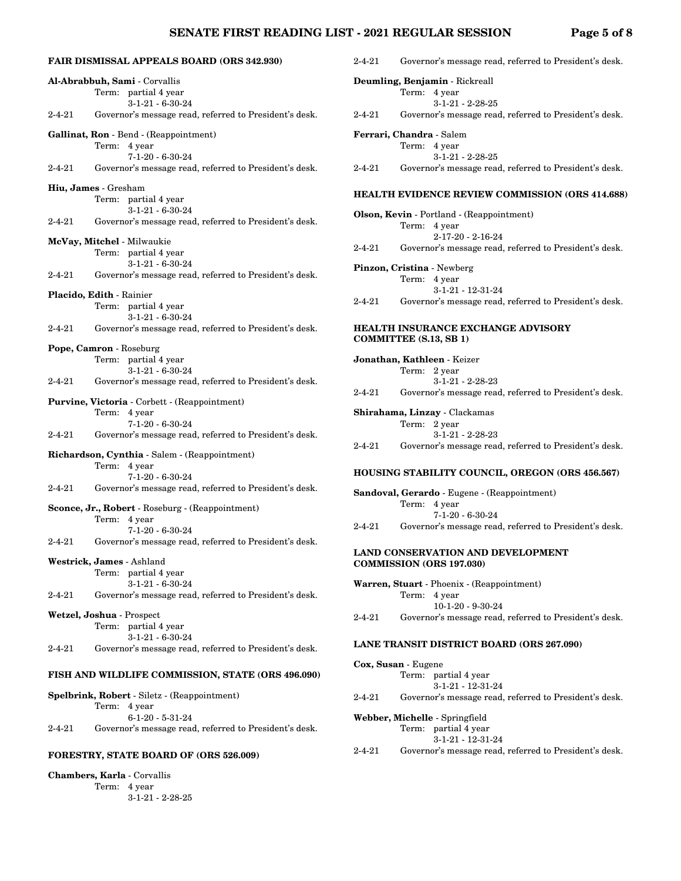## **SENATE FIRST READING LIST - 2021 REGULAR SESSION Page 5 of 8**

|              | <b>FAIR DISMISSAL APPEALS BOARD (ORS 342.930)</b>      | $2 - 4 - 21$                      | Governor's message rea     |
|--------------|--------------------------------------------------------|-----------------------------------|----------------------------|
|              | Al-Abrabbuh, Sami - Corvallis                          | Deumling, Benjamin - Rickreall    |                            |
|              | Term: partial 4 year                                   |                                   | Term: 4 year               |
|              | $3-1-21 - 6-30-24$                                     |                                   | $3 - 1 - 21 - 2 - 28 - 25$ |
| $2 - 4 - 21$ | Governor's message read, referred to President's desk. | $2 - 4 - 21$                      | Governor's message rea     |
|              | Gallinat, Ron - Bend - (Reappointment)                 | Ferrari, Chandra - Salem          |                            |
|              | Term: 4 year                                           |                                   | Term: 4 year               |
|              | $7-1-20 - 6-30-24$                                     |                                   | $3 - 1 - 21 - 2 - 28 - 25$ |
| $2 - 4 - 21$ | Governor's message read, referred to President's desk. | 2-4-21                            | Governor's message rea     |
|              | Hiu, James - Gresham                                   |                                   |                            |
|              | Term: partial 4 year                                   | <b>HEALTH EVIDENCE REVIEW</b>     |                            |
|              | $3-1-21 - 6-30-24$                                     | Olson, Kevin - Portland - (Reappo |                            |
| $2 - 4 - 21$ | Governor's message read, referred to President's desk. |                                   | Term: 4 year               |
|              |                                                        |                                   | $2 - 17 - 20 - 2 - 16 - 2$ |
|              | McVay, Mitchel - Milwaukie                             | $2 - 4 - 21$                      | Governor's message rea     |
|              | Term: partial 4 year                                   |                                   |                            |
|              | $3-1-21 - 6-30-24$                                     | Pinzon, Cristina - Newberg        |                            |
| $2 - 4 - 21$ | Governor's message read, referred to President's desk. |                                   | Term: 4 year               |
|              | Placido, Edith - Rainier                               |                                   | $3-1-21 - 12-31-2$         |
|              |                                                        | $2 - 4 - 21$                      | Governor's message rea     |
|              | Term: partial 4 year<br>$3-1-21 - 6-30-24$             |                                   |                            |
| $2 - 4 - 21$ |                                                        | <b>HEALTH INSURANCE EXCHA</b>     |                            |
|              | Governor's message read, referred to President's desk. | <b>COMMITTEE</b> (S.13, SB 1)     |                            |
|              | Pope, Camron - Roseburg                                |                                   |                            |
|              | Term: partial 4 year                                   | Jonathan, Kathleen - Keizer       |                            |
|              | $3-1-21 - 6-30-24$                                     |                                   | Term: 2 year               |
| $2 - 4 - 21$ | Governor's message read, referred to President's desk. |                                   | $3-1-21 - 2-28-23$         |
|              |                                                        | $2 - 4 - 21$                      | Governor's message rea     |
|              | Purvine, Victoria - Corbett - (Reappointment)          |                                   |                            |
|              | Term: 4 year                                           | Shirahama, Linzay - Clackamas     |                            |
|              | $7-1-20 - 6-30-24$                                     |                                   | Term: 2 year               |
| $2 - 4 - 21$ | Governor's message read, referred to President's desk. |                                   | $3-1-21 - 2-28-23$         |
|              |                                                        | $2 - 4 - 21$                      | Governor's message rea     |
|              | Richardson, Cynthia - Salem - (Reappointment)          |                                   |                            |
|              | Term: 4 year                                           |                                   |                            |
|              | $7 - 1 - 20 - 6 - 30 - 24$                             | HOUSING STABILITY COUNC           |                            |
| $2 - 4 - 21$ | Governor's message read, referred to President's desk. |                                   |                            |
|              |                                                        | Sandoval, Gerardo - Eugene - (R   |                            |
|              | Sconce, Jr., Robert - Roseburg - (Reappointment)       | Term:                             | 4 year                     |
|              | Term: 4 year                                           |                                   | $7 - 1 - 20 - 6 - 30 - 24$ |
|              | $7 - 1 - 20 - 6 - 30 - 24$                             | $2 - 4 - 21$                      | Governor's message rea     |
| $2 - 4 - 21$ | Governor's message read, referred to President's desk. |                                   |                            |
|              |                                                        | <b>LAND CONSERVATION AND I</b>    |                            |
|              | Westrick, James - Ashland                              | <b>COMMISSION (ORS 197.030)</b>   |                            |
|              | Term: partial 4 year                                   |                                   |                            |
|              | $3-1-21-6-30-24$                                       | Warren, Stuart - Phoenix - (Reap  |                            |
| $2 - 4 - 21$ | Governor's message read, referred to President's desk. |                                   | Term: 4 year               |
|              |                                                        |                                   | $10-1-20 - 9-30-2$         |
|              | Wetzel, Joshua - Prospect                              | 2-4-21                            | Governor's message rea     |
|              | Term: partial 4 year                                   |                                   |                            |
|              | $3-1-21 - 6-30-24$                                     |                                   |                            |
| $2 - 4 - 21$ | Governor's message read, referred to President's desk. | <b>LANE TRANSIT DISTRICT BO</b>   |                            |
|              |                                                        | Cox, Susan - Eugene               |                            |
|              | FISH AND WILDLIFE COMMISSION, STATE (ORS 496.090)      |                                   | Term: partial 4 year       |
|              |                                                        |                                   | 3-1-21 - 12-31-2           |
|              | Spelbrink, Robert - Siletz - (Reappointment)           | $2 - 4 - 21$                      | Governor's message rea     |
|              |                                                        |                                   |                            |

Term: 4 year

**Chambers, Karla** - Corvallis Term: 4 year

6-1-20 - 5-31-24

**FORESTRY, STATE BOARD OF (ORS 526.009)**

3-1-21 - 2-28-25

2-4-21 Governor's message read, referred to President's desk.

|  | $2 - 4 - 21$ | Governor's message read, referred to President's desk. |
|--|--------------|--------------------------------------------------------|
|--|--------------|--------------------------------------------------------|

|                               | Term: 4 year |                                                        |
|-------------------------------|--------------|--------------------------------------------------------|
|                               |              | $3-1-21-2-28-25$                                       |
| 2-4-21                        |              | Governor's message read, referred to President's desk. |
| Ferrari, Chandra - Salem      |              |                                                        |
|                               | Term: 4 year |                                                        |
|                               |              | $3-1-21 - 2-28-25$                                     |
| 2-4-21                        |              | Governor's message read, referred to President's desk. |
|                               |              | <b>HEALTH EVIDENCE REVIEW COMMISSION (ORS 414.688)</b> |
|                               |              | Olson, Kevin - Portland - (Reappointment)              |
|                               | Term: 4 year |                                                        |
|                               |              | $2 - 17 - 20 - 2 - 16 - 24$                            |
| 2-4-21                        |              | Governor's message read, referred to President's desk. |
| Pinzon, Cristina - Newberg    |              |                                                        |
|                               | Term: 4 year |                                                        |
|                               |              | $3-1-21 - 12-31-24$                                    |
| 2-4-21                        |              | Governor's message read, referred to President's desk. |
|                               |              | HEALTH INSURANCE EXCHANGE ADVISORY                     |
| <b>COMMITTEE (S.13, SB 1)</b> |              |                                                        |
|                               |              | <b>Jonathan, Kathleen -</b> Keizer                     |
|                               | Term: 2 year |                                                        |
|                               |              | $3-1-21 - 2-28-23$                                     |
| 2-4-21                        |              | Governor's message read, referred to President's desk. |
|                               |              | <b>Shirahama, Linzay -</b> Clackamas                   |

|        | Term: 2 year                                           |
|--------|--------------------------------------------------------|
|        | $3-1-21 - 2-28-23$                                     |
| 2-4-21 | Governor's message read, referred to President's desk. |

## **USING STABILITY COUNCIL, OREGON (ORS 456.567)**

|              | Sandoval, Gerardo - Eugene - (Reappointment)           |
|--------------|--------------------------------------------------------|
|              | Term: 4 year                                           |
|              | $7-1-20 - 6-30-24$                                     |
| $2 - 4 - 21$ | Governor's message read, referred to President's desk. |

## **LAND CONSERVATION AND DEVELOPMENT MMISSION (ORS 197.030)**

**Warren, Stuart** - Phoenix - (Reappointment) Term: 4 year 10-1-20 - 9-30-24 21 Governor's message read, referred to President's desk.

## **LANE TRANSIT DISTRICT BOARD (ORS 267.090)**

|              | Cox, Susan - Eugene                                    |
|--------------|--------------------------------------------------------|
|              | Term: partial 4 year                                   |
|              | $3-1-21 - 12-31-24$                                    |
| $2 - 4 - 21$ | Governor's message read, referred to President's desk. |
|              | Webber, Michelle - Springfield                         |
|              | Term: partial 4 year                                   |
|              | $3-1-21 - 12-31-24$                                    |
| $2 - 4 - 21$ | Governor's message read, referred to President's desk. |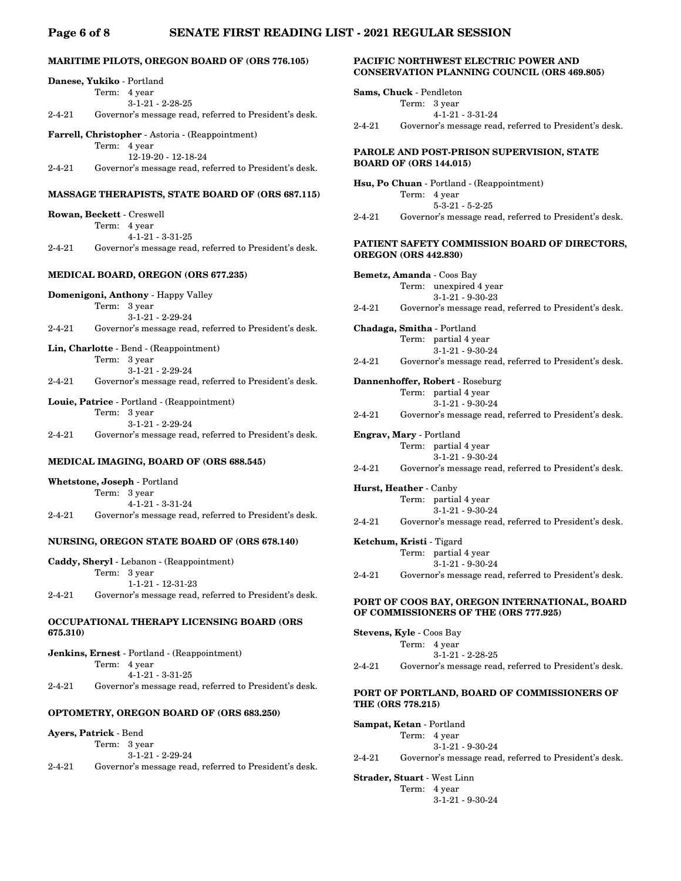## **Page 6 of 8 SENATE FIRST READING LIST - 2021 REGULAR SESSION**

## **MARITIME PILOTS, OREGON BOARD OF (ORS 776.105)**

|              | Danese, Yukiko - Portland                                                     | UUINDEL        |
|--------------|-------------------------------------------------------------------------------|----------------|
|              | Term:<br>4 year                                                               | Sams, Ch       |
|              | $3-1-21-2-28-25$                                                              |                |
| $2 - 4 - 21$ | Governor's message read, referred to President's desk.                        |                |
|              |                                                                               | $2 - 4 - 21$   |
|              | Farrell, Christopher - Astoria - (Reappointment)                              |                |
|              | Term: 4 year                                                                  | <b>PAROLE</b>  |
| $2 - 4 - 21$ | 12-19-20 - 12-18-24<br>Governor's message read, referred to President's desk. | <b>BOARD</b>   |
|              |                                                                               |                |
|              |                                                                               | Hsu, Po (      |
|              | <b>MASSAGE THERAPISTS, STATE BOARD OF (ORS 687.115)</b>                       |                |
|              | Rowan, Beckett - Creswell                                                     | $2 - 4 - 21$   |
|              | Term: 4 year                                                                  |                |
|              | $4-1-21 - 3-31-25$                                                            |                |
| 2-4-21       | Governor's message read, referred to President's desk.                        | <b>PATIENT</b> |
|              |                                                                               | <b>OREGON</b>  |
|              | MEDICAL BOARD, OREGON (ORS 677.235)                                           | Bemetz,        |
|              | Domenigoni, Anthony - Happy Valley                                            |                |
|              | Term: 3 year                                                                  | $2 - 4 - 21$   |
|              | $3-1-21-2-29-24$                                                              |                |
| $2 - 4 - 21$ | Governor's message read, referred to President's desk.                        | Chadaga        |
|              |                                                                               |                |
|              | Lin, Charlotte - Bend - (Reappointment)                                       |                |
|              | Term: 3 year                                                                  | $2 - 4 - 21$   |
| $2 - 4 - 21$ | $3-1-21 - 2-29-24$                                                            |                |
|              | Governor's message read, referred to President's desk.                        | Dannenh        |
|              | Louie, Patrice - Portland - (Reappointment)                                   |                |
|              | 3 year<br>Term:                                                               | $2 - 4 - 21$   |
|              | $3-1-21 - 2-29-24$                                                            |                |
| $2 - 4 - 21$ | Governor's message read, referred to President's desk.                        | Engrav, I      |
|              |                                                                               |                |
|              | MEDICAL IMAGING, BOARD OF (ORS 688.545)                                       |                |
|              |                                                                               | $2 - 4 - 21$   |
|              | Whetstone, Joseph - Portland                                                  | <b>TT</b> IT   |

|              | Term: 3 year                                           |
|--------------|--------------------------------------------------------|
|              | $4 - 1 - 21 - 3 - 31 - 24$                             |
| $2 - 4 - 21$ | Governor's message read, referred to President's desk. |

## **NURSING, OREGON STATE BOARD OF (ORS 678.140)**

| Caddy, Sheryl - Lebanon - (Reappointment) |  |                                                        |  |  |
|-------------------------------------------|--|--------------------------------------------------------|--|--|
|                                           |  | Term: 3 year                                           |  |  |
|                                           |  | $1 - 1 - 21 - 12 - 31 - 23$                            |  |  |
| $2 - 4 - 21$                              |  | Governor's message read, referred to President's desk. |  |  |

## **OCCUPATIONAL THERAPY LICENSING BOARD (ORS 675.310)**

|              |              | <b>Jenkins, Ernest</b> - Portland - (Reappointment)    |
|--------------|--------------|--------------------------------------------------------|
|              | Term: 4 year |                                                        |
|              |              | $4 - 1 - 21 - 3 - 31 - 25$                             |
| $2 - 4 - 21$ |              | Governor's message read, referred to President's desk. |

## **OPTOMETRY, OREGON BOARD OF (ORS 683.250)**

## **Ayers, Patrick** - Bend

|          | Term: 3 year<br>$3-1-21 - 2-29-24$ |  |
|----------|------------------------------------|--|
| <u>.</u> |                                    |  |

2-4-21 Governor's message read, referred to President's desk.

## **PACIFIC NORTHWEST ELECTRIC POWER AND CONSERVATION PLANNING COUNCIL (ORS 469.805)**

| <b>Sams, Chuck</b> - Pendleton |              |                                                        |  |  |
|--------------------------------|--------------|--------------------------------------------------------|--|--|
|                                | Term: 3 year |                                                        |  |  |
|                                |              | $4 - 1 - 21 - 3 - 31 - 24$                             |  |  |
| $2 - 4 - 21$                   |              | Governor's message read, referred to President's desk. |  |  |

## **PAROLE AND POST-PRISON SUPERVISION, STATE DF (ORS 144.015)**

Chuan - Portland - (Reappointment) Term: 4 year 5-3-21 - 5-2-25 Governor's message read, referred to President's desk.

## **P SAFETY COMMISSION BOARD OF DIRECTORS, OREGON (ORS 442.830)**

**Bemetz, Amanda** - Coos Bay Term: unexpired 4 year 3-1-21 - 9-30-23 Governor's message read, referred to President's desk.

Smitha - Portland Term: partial 4 year 3-1-21 - 9-30-24 Governor's message read, referred to President's desk.

**offer, Robert** - Roseburg Term: partial 4 year 3-1-21 - 9-30-24

Governor's message read, referred to President's desk.

## **Engrav, Mary** - Portland

Term: partial 4 year 3-1-21 - 9-30-24

Governor's message read, referred to President's desk.

**Hurst, Heather** - Canby Term: partial 4 year 3-1-21 - 9-30-24

2-4-21 Governor's message read, referred to President's desk.

#### **Ketchum, Kristi** - Tigard

Term: partial 4 year 3-1-21 - 9-30-24

2-4-21 Governor's message read, referred to President's desk.

## **PORT OF COOS BAY, OREGON INTERNATIONAL, BOARD OF COMMISSIONERS OF THE (ORS 777.925)**

| <b>Stevens, Kyle - Coos Bay</b> |              |                                                        |  |
|---------------------------------|--------------|--------------------------------------------------------|--|
|                                 | Term: 4 year |                                                        |  |
|                                 |              | $3-1-21 - 2-28-25$                                     |  |
| $2 - 4 - 21$                    |              | Governor's message read, referred to President's desk. |  |

## **PORT OF PORTLAND, BOARD OF COMMISSIONERS OF THE (ORS 778.215)**

| <b>Sampat, Ketan</b> - Portland |  |                                                        |  |  |
|---------------------------------|--|--------------------------------------------------------|--|--|
|                                 |  | Term: 4 year                                           |  |  |
|                                 |  | $3-1-21 - 9-30-24$                                     |  |  |
| 2-4-21                          |  | Governor's message read, referred to President's desk. |  |  |

**Strader, Stuart** - West Linn

Term: 4 year 3-1-21 - 9-30-24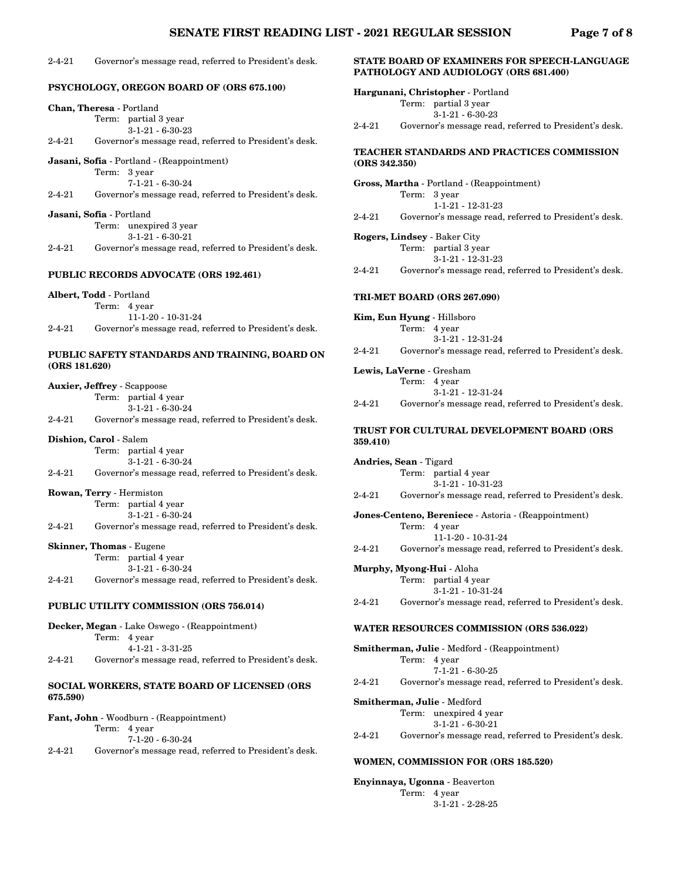#### 2-4-21 Governor's message read, referred to President's desk.

|               | PSYCHOLOGY, OREGON BOARD OF (ORS 675.100)                                    |  |
|---------------|------------------------------------------------------------------------------|--|
|               | Chan, Theresa - Portland                                                     |  |
|               | Term: partial 3 year                                                         |  |
|               | $3-1-21 - 6-30-23$                                                           |  |
| 2-4-21        | Governor's message read, referred to President's desk.                       |  |
|               | Jasani, Sofia - Portland - (Reappointment)                                   |  |
|               | Term:<br>3 year                                                              |  |
|               | $7-1-21 - 6-30-24$                                                           |  |
| 2-4-21        | Governor's message read, referred to President's desk.                       |  |
|               | Jasani, Sofia - Portland                                                     |  |
|               | $\mathrm{Term}\colon$<br>unexpired 3 year                                    |  |
|               | $3-1-21 - 6-30-21$                                                           |  |
| 2-4-21        | Governor's message read, referred to President's desk.                       |  |
|               | <b>PUBLIC RECORDS ADVOCATE (ORS 192.461)</b>                                 |  |
|               |                                                                              |  |
|               | Albert, Todd - Portland                                                      |  |
|               | Term: 4 year                                                                 |  |
| $2 - 4 - 21$  | 11-1-20 - 10-31-24<br>Governor's message read, referred to President's desk. |  |
|               |                                                                              |  |
| (ORS 181.620) | PUBLIC SAFETY STANDARDS AND TRAINING, BOARD ON                               |  |
|               | <b>Auxier, Jeffrey - Scappoose</b>                                           |  |
|               | Term: partial 4 year                                                         |  |
|               | $3-1-21 - 6-30-24$                                                           |  |
| 2-4-21        | Governor's message read, referred to President's desk.                       |  |
|               | Dishion, Carol - Salem                                                       |  |
|               | partial 4 year<br>Term:                                                      |  |
|               | $3-1-21-6-30-24$                                                             |  |
| 2-4-21        | Governor's message read, referred to President's desk.                       |  |
|               | Rowan, Terry - Hermiston                                                     |  |
|               | partial 4 year<br>Term:                                                      |  |
|               | $3-1-21-6-30-24$                                                             |  |
| 2-4-21        | Governor's message read, referred to President's desk.                       |  |
|               | <b>Skinner, Thomas - Eugene</b>                                              |  |
|               | Term: partial 4 year                                                         |  |
|               | $3-1-21 - 6-30-24$                                                           |  |
| 2-4-21        | Governor's message read, referred to President's desk.                       |  |
|               | PUBLIC UTILITY COMMISSION (ORS 756.014)                                      |  |
|               | <b>Decker, Megan</b> - Lake Oswego - (Reappointment)                         |  |
|               | Term: 4 year                                                                 |  |
|               | $4 - 1 - 21 - 3 - 31 - 25$                                                   |  |
| 2-4-21        | Governor's message read, referred to President's desk.                       |  |
| 675.590)      | SOCIAL WORKERS, STATE BOARD OF LICENSED (ORS                                 |  |
|               | <b>Fant, John</b> - Woodburn - (Reappointment)                               |  |
|               | Term: 4 year                                                                 |  |

7-1-20 - 6-30-24

2-4-21 Governor's message read, referred to President's desk.

## **STATE BOARD OF EXAMINERS FOR SPEECH-LANGUAGE PATHOLOGY AND AUDIOLOGY (ORS 681.400)**

**Hargunani, Christopher** - Portland Term: partial 3 year 3-1-21 - 6-30-23

2-4-21 Governor's message read, referred to President's desk.

## **TEACHER STANDARDS AND PRACTICES COMMISSION (ORS 342.350)**

**Gross, Martha** - Portland - (Reappointment) Term: 3 year 1-1-21 - 12-31-23 2-4-21 Governor's message read, referred to President's desk.

- **Rogers, Lindsey** Baker City Term: partial 3 year 3-1-21 - 12-31-23
- 2-4-21 Governor's message read, referred to President's desk.

## **TRI-MET BOARD (ORS 267.090)**

**Kim, Eun Hyung** - Hillsboro Term: 4 year 3-1-21 - 12-31-24 2-4-21 Governor's message read, referred to President's desk.

**Lewis, LaVerne** - Gresham Term: 4 year 3-1-21 - 12-31-24

# 2-4-21 Governor's message read, referred to President's desk.

## **TRUST FOR CULTURAL DEVELOPMENT BOARD (ORS 359.410)**

**Andries, Sean** - Tigard Term: partial 4 year 3-1-21 - 10-31-23 2-4-21 Governor's message read, referred to President's desk.

**Jones-Centeno, Bereniece** - Astoria - (Reappointment) Term: 4 year 11-1-20 - 10-31-24 2-4-21 Governor's message read, referred to President's desk.

#### **Murphy, Myong-Hui** - Aloha Term: partial 4 year

3-1-21 - 10-31-24 2-4-21 Governor's message read, referred to President's desk.

#### **WATER RESOURCES COMMISSION (ORS 536.022)**

**Smitherman, Julie** - Medford - (Reappointment) Term: 4 year 7-1-21 - 6-30-25 2-4-21 Governor's message read, referred to President's desk.

**Smitherman, Julie** - Medford Term: unexpired 4 year 3-1-21 - 6-30-21 2-4-21 Governor's message read, referred to President's desk.

## **WOMEN, COMMISSION FOR (ORS 185.520)**

**Enyinnaya, Ugonna** - Beaverton Term: 4 year 3-1-21 - 2-28-25